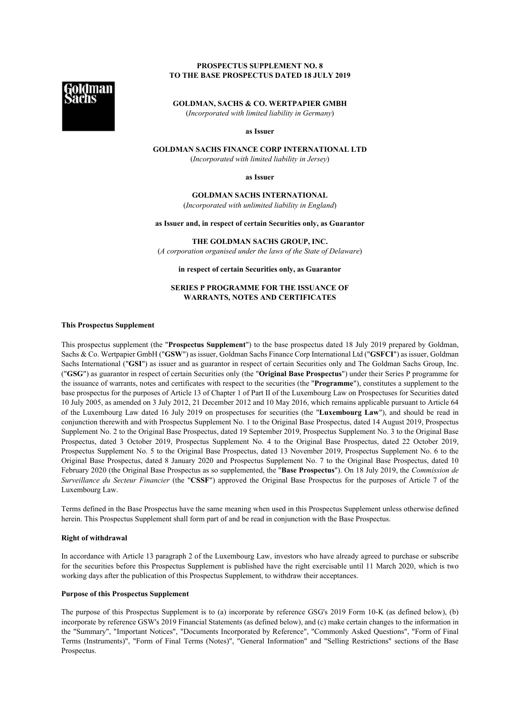## **PROSPECTUS SUPPLEMENT NO. 8 TO THE BASE PROSPECTUS DATED 18 JULY 2019**

**GOLDMAN, SACHS & CO. WERTPAPIER GMBH** (*Incorporated with limited liability in Germany*)

**as Issuer**

# **GOLDMAN SACHS FINANCE CORP INTERNATIONAL LTD**

(*Incorporated with limited liability in Jersey*)

**as Issuer**

**GOLDMAN SACHS INTERNATIONAL** (*Incorporated with unlimited liability in England*)

**as Issuer and, in respect of certain Securities only, as Guarantor**

**THE GOLDMAN SACHS GROUP, INC.** (*A corporation organised under the laws of the State of Delaware*)

**in respect of certain Securities only, as Guarantor**

## **SERIES P PROGRAMME FOR THE ISSUANCE OF WARRANTS, NOTES AND CERTIFICATES**

## **This Prospectus Supplement**

This prospectus supplement (the "**Prospectus Supplement**") to the base prospectus dated 18 July 2019 prepared by Goldman, Sachs & Co. Wertpapier GmbH ("**GSW**") as issuer, Goldman Sachs Finance Corp International Ltd ("**GSFCI**") as issuer, Goldman Sachs International ("**GSI**") as issuer and as guarantor in respect of certain Securities only and The Goldman Sachs Group, Inc. ("**GSG**") as guarantor in respect of certain Securities only (the "**Original Base Prospectus**") under their Series P programme for the issuance of warrants, notes and certificates with respect to the securities (the "**Programme**"), constitutes a supplement to the base prospectus for the purposes of Article 13 of Chapter 1 of Part II of the Luxembourg Law on Prospectuses for Securities dated 10 July 2005, as amended on 3 July 2012, 21 December 2012 and 10 May 2016, which remains applicable pursuant to Article 64 of the Luxembourg Law dated 16 July 2019 on prospectuses for securities (the "**Luxembourg Law**"), and should be read in conjunction therewith and with Prospectus Supplement No. 1 to the Original Base Prospectus, dated 14 August 2019, Prospectus Supplement No. 2 to the Original Base Prospectus, dated 19 September 2019, Prospectus Supplement No. 3 to the Original Base Prospectus, dated 3 October 2019, Prospectus Supplement No. 4 to the Original Base Prospectus, dated 22 October 2019, Prospectus Supplement No. 5 to the Original Base Prospectus, dated 13 November 2019, Prospectus Supplement No. 6 to the Original Base Prospectus, dated 8 January 2020 and Prospectus Supplement No. 7 to the Original Base Prospectus, dated 10 February 2020 (the Original Base Prospectus as so supplemented, the "**Base Prospectus**"). On 18 July 2019, the *Commission de Surveillance du Secteur Financier* (the "**CSSF**") approved the Original Base Prospectus for the purposes of Article 7 of the Luxembourg Law.

Terms defined in the Base Prospectus have the same meaning when used in this Prospectus Supplement unless otherwise defined herein. This Prospectus Supplement shall form part of and be read in conjunction with the Base Prospectus.

## **Right of withdrawal**

In accordance with Article 13 paragraph 2 of the Luxembourg Law, investors who have already agreed to purchase or subscribe for the securities before this Prospectus Supplement is published have the right exercisable until 11 March 2020, which is two working days after the publication of this Prospectus Supplement, to withdraw their acceptances.

## **Purpose of this Prospectus Supplement**

The purpose of this Prospectus Supplement is to (a) incorporate by reference GSG's 2019 Form 10-K (as defined below), (b) incorporate by reference GSW's 2019 Financial Statements (as defined below), and (c) make certain changes to the information in the "Summary", "Important Notices", "Documents Incorporated by Reference", "Commonly Asked Questions", "Form of Final Terms (Instruments)", "Form of Final Terms (Notes)", "General Information" and "Selling Restrictions" sections of the Base Prospectus.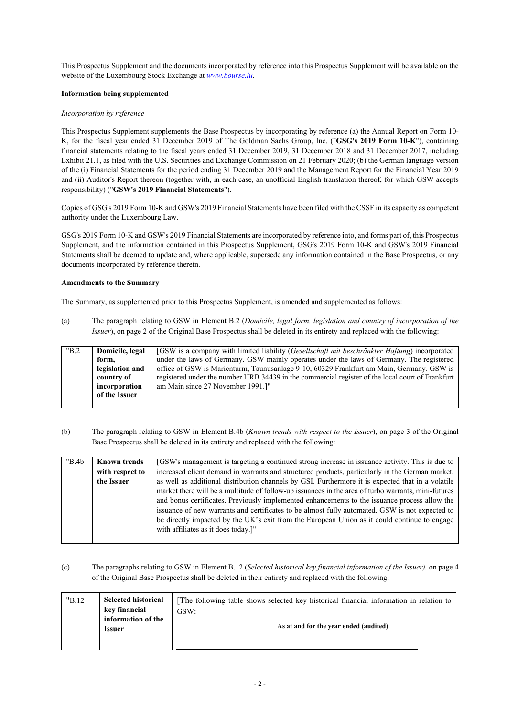This Prospectus Supplement and the documents incorporated by reference into this Prospectus Supplement will be available on the website of the Luxembourg Stock Exchange at *www.bourse.lu*.

## **Information being supplemented**

## *Incorporation by reference*

This Prospectus Supplement supplements the Base Prospectus by incorporating by reference (a) the Annual Report on Form 10- K, for the fiscal year ended 31 December 2019 of The Goldman Sachs Group, Inc. ("**GSG's 2019 Form 10-K**"), containing financial statements relating to the fiscal years ended 31 December 2019, 31 December 2018 and 31 December 2017, including Exhibit 21.1, as filed with the U.S. Securities and Exchange Commission on 21 February 2020; (b) the German language version of the (i) Financial Statements for the period ending 31 December 2019 and the Management Report for the Financial Year 2019 and (ii) Auditor's Report thereon (together with, in each case, an unofficial English translation thereof, for which GSW accepts responsibility) ("**GSW's 2019 Financial Statements**").

Copies of GSG's 2019 Form 10-K and GSW's 2019 Financial Statements have been filed with the CSSF in its capacity as competent authority under the Luxembourg Law.

GSG's 2019 Form 10-K and GSW's 2019 Financial Statements are incorporated by reference into, and forms part of, this Prospectus Supplement, and the information contained in this Prospectus Supplement, GSG's 2019 Form 10-K and GSW's 2019 Financial Statements shall be deemed to update and, where applicable, supersede any information contained in the Base Prospectus, or any documents incorporated by reference therein.

## **Amendments to the Summary**

The Summary, as supplemented prior to this Prospectus Supplement, is amended and supplemented as follows:

(a) The paragraph relating to GSW in Element B.2 (*Domicile, legal form, legislation and country of incorporation of the Issuer*), on page 2 of the Original Base Prospectus shall be deleted in its entirety and replaced with the following:

| "B.2 | Domicile, legal | [GSW is a company with limited liability (Gesellschaft mit beschränkter Haftung) incorporated    |
|------|-----------------|--------------------------------------------------------------------------------------------------|
|      | form.           | under the laws of Germany. GSW mainly operates under the laws of Germany. The registered         |
|      | legislation and | office of GSW is Marienturm, Taunusanlage 9-10, 60329 Frankfurt am Main, Germany. GSW is         |
|      | country of      | registered under the number HRB 34439 in the commercial register of the local court of Frankfurt |
|      | incorporation   | am Main since 27 November 1991.]"                                                                |
|      | of the Issuer   |                                                                                                  |
|      |                 |                                                                                                  |

(b) The paragraph relating to GSW in Element B.4b (*Known trends with respect to the Issuer*), on page 3 of the Original Base Prospectus shall be deleted in its entirety and replaced with the following:

| "B.4b" | <b>Known trends</b> | [GSW's management is targeting a continued strong increase in issuance activity. This is due to     |  |  |
|--------|---------------------|-----------------------------------------------------------------------------------------------------|--|--|
|        | with respect to     | increased client demand in warrants and structured products, particularly in the German market,     |  |  |
|        | the Issuer          | as well as additional distribution channels by GSI. Furthermore it is expected that in a volatile   |  |  |
|        |                     | market there will be a multitude of follow-up issuances in the area of turbo warrants, mini-futures |  |  |
|        |                     | and bonus certificates. Previously implemented enhancements to the issuance process allow the       |  |  |
|        |                     | issuance of new warrants and certificates to be almost fully automated. GSW is not expected to      |  |  |
|        |                     | be directly impacted by the UK's exit from the European Union as it could continue to engage        |  |  |
|        |                     | with affiliates as it does today.]"                                                                 |  |  |
|        |                     |                                                                                                     |  |  |

## (c) The paragraphs relating to GSW in Element B.12 (*Selected historical key financial information of the Issuer),* on page 4 of the Original Base Prospectus shall be deleted in their entirety and replaced with the following:

| "B.12" | <b>Selected historical</b><br>key financial<br>information of the | The following table shows selected key historical financial information in relation to<br>GSW: |  |
|--------|-------------------------------------------------------------------|------------------------------------------------------------------------------------------------|--|
|        | Issuer                                                            | As at and for the year ended (audited)                                                         |  |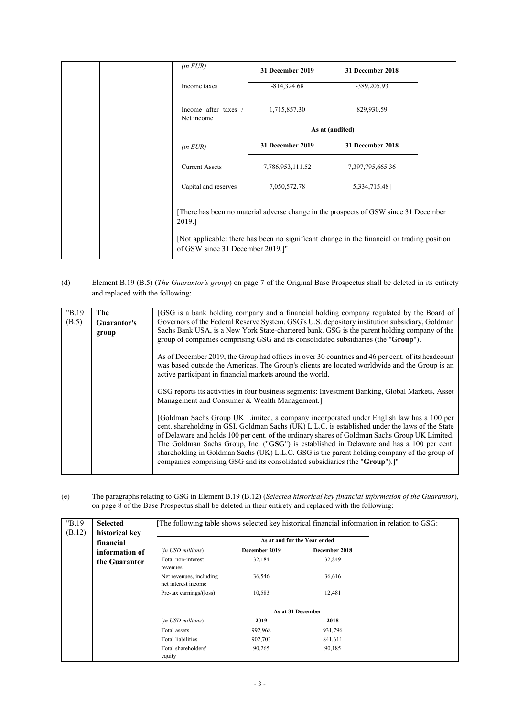| $(in$ <i>EUR</i> $)$                              | 31 December 2019 | 31 December 2018                                                                                                                                                                   |
|---------------------------------------------------|------------------|------------------------------------------------------------------------------------------------------------------------------------------------------------------------------------|
| Income taxes                                      | $-814,324.68$    | -389,205.93                                                                                                                                                                        |
| Income after taxes $/$ 1,715,857.30<br>Net income |                  | 829,930.59                                                                                                                                                                         |
|                                                   |                  | As at (audited)                                                                                                                                                                    |
| $(in$ <i>EUR</i> $)$                              | 31 December 2019 | 31 December 2018                                                                                                                                                                   |
| <b>Current Assets</b>                             | 7,786,953,111.52 | 7,397,795,665.36                                                                                                                                                                   |
| Capital and reserves                              | 7,050,572.78     | 5,334,715.48]                                                                                                                                                                      |
| 2019.]<br>of GSW since 31 December 2019.]"        |                  | [There has been no material adverse change in the prospects of GSW since 31 December<br>[Not applicable: there has been no significant change in the financial or trading position |

## (d) Element B.19 (B.5) (*The Guarantor's group*) on page 7 of the Original Base Prospectus shall be deleted in its entirety and replaced with the following:

| "B.19 | The         | [GSG is a bank holding company and a financial holding company regulated by the Board of                                                                                                                                                                                                                                                                                                                                                                                                                                                                              |
|-------|-------------|-----------------------------------------------------------------------------------------------------------------------------------------------------------------------------------------------------------------------------------------------------------------------------------------------------------------------------------------------------------------------------------------------------------------------------------------------------------------------------------------------------------------------------------------------------------------------|
| (B.5) | Guarantor's | Governors of the Federal Reserve System. GSG's U.S. depository institution subsidiary, Goldman                                                                                                                                                                                                                                                                                                                                                                                                                                                                        |
|       |             | Sachs Bank USA, is a New York State-chartered bank. GSG is the parent holding company of the                                                                                                                                                                                                                                                                                                                                                                                                                                                                          |
|       | group       |                                                                                                                                                                                                                                                                                                                                                                                                                                                                                                                                                                       |
|       |             | group of companies comprising GSG and its consolidated subsidiaries (the "Group").                                                                                                                                                                                                                                                                                                                                                                                                                                                                                    |
|       |             | As of December 2019, the Group had offices in over 30 countries and 46 per cent. of its headcount<br>was based outside the Americas. The Group's clients are located worldwide and the Group is an<br>active participant in financial markets around the world.                                                                                                                                                                                                                                                                                                       |
|       |             | GSG reports its activities in four business segments: Investment Banking, Global Markets, Asset<br>Management and Consumer & Wealth Management.]                                                                                                                                                                                                                                                                                                                                                                                                                      |
|       |             | [Goldman Sachs Group UK Limited, a company incorporated under English law has a 100 per<br>cent. shareholding in GSI. Goldman Sachs (UK) L.L.C. is established under the laws of the State<br>of Delaware and holds 100 per cent. of the ordinary shares of Goldman Sachs Group UK Limited.<br>The Goldman Sachs Group, Inc. ("GSG") is established in Delaware and has a 100 per cent.<br>shareholding in Goldman Sachs (UK) L.L.C. GSG is the parent holding company of the group of<br>companies comprising GSG and its consolidated subsidiaries (the "Group").]" |

## (e) The paragraphs relating to GSG in Element B.19 (B.12) (*Selected historical key financial information of the Guarantor*), on page 8 of the Base Prospectus shall be deleted in their entirety and replaced with the following:

| "B.19  | <b>Selected</b>             | The following table shows selected key historical financial information in relation to GSG: |               |                   |  |
|--------|-----------------------------|---------------------------------------------------------------------------------------------|---------------|-------------------|--|
| (B.12) | historical key<br>financial |                                                                                             |               |                   |  |
|        | information of              | (in USD millions)                                                                           | December 2019 | December 2018     |  |
|        | the Guarantor               | Total non-interest<br>revenues                                                              | 32,184        | 32,849            |  |
|        |                             | Net revenues, including<br>net interest income                                              | 36,546        | 36,616            |  |
|        |                             | Pre-tax earnings/(loss)                                                                     | 10,583        | 12,481            |  |
|        |                             |                                                                                             |               | As at 31 December |  |
|        |                             | (in USD millions)                                                                           | 2019          | 2018              |  |
|        |                             | Total assets                                                                                | 992,968       | 931,796           |  |
|        |                             | Total liabilities                                                                           | 902,703       | 841,611           |  |
|        |                             | Total shareholders'<br>equity                                                               | 90,265        | 90,185            |  |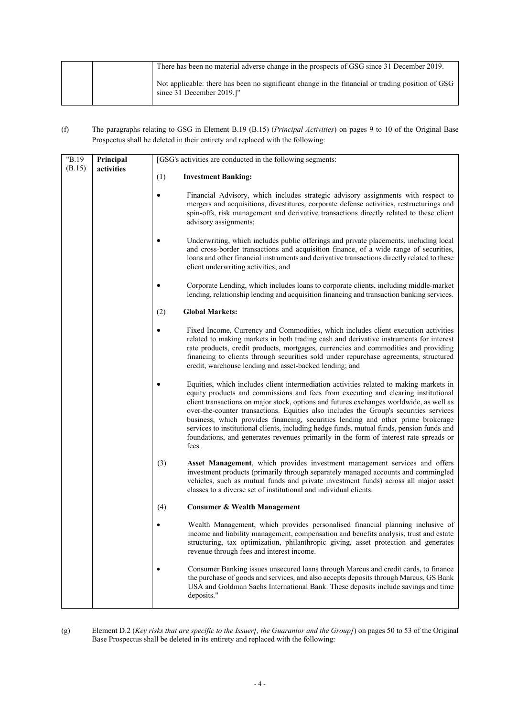|  | There has been no material adverse change in the prospects of GSG since 31 December 2019.                                     |
|--|-------------------------------------------------------------------------------------------------------------------------------|
|  | Not applicable: there has been no significant change in the financial or trading position of GSG<br>since 31 December 2019.]" |

(f) The paragraphs relating to GSG in Element B.19 (B.15) (*Principal Activities*) on pages 9 to 10 of the Original Base Prospectus shall be deleted in their entirety and replaced with the following:

| "B.19  | Principal  | [GSG's activities are conducted in the following segments: |                                                                                                                                                                                                                                                                                                                                                                                                                                                                                                                                                                                                                                                     |
|--------|------------|------------------------------------------------------------|-----------------------------------------------------------------------------------------------------------------------------------------------------------------------------------------------------------------------------------------------------------------------------------------------------------------------------------------------------------------------------------------------------------------------------------------------------------------------------------------------------------------------------------------------------------------------------------------------------------------------------------------------------|
| (B.15) | activities | (1)                                                        | <b>Investment Banking:</b>                                                                                                                                                                                                                                                                                                                                                                                                                                                                                                                                                                                                                          |
|        |            | $\bullet$                                                  | Financial Advisory, which includes strategic advisory assignments with respect to<br>mergers and acquisitions, divestitures, corporate defense activities, restructurings and<br>spin-offs, risk management and derivative transactions directly related to these client<br>advisory assignments;                                                                                                                                                                                                                                                                                                                                                   |
|        |            | ٠                                                          | Underwriting, which includes public offerings and private placements, including local<br>and cross-border transactions and acquisition finance, of a wide range of securities,<br>loans and other financial instruments and derivative transactions directly related to these<br>client underwriting activities; and                                                                                                                                                                                                                                                                                                                                |
|        |            |                                                            | Corporate Lending, which includes loans to corporate clients, including middle-market<br>lending, relationship lending and acquisition financing and transaction banking services.                                                                                                                                                                                                                                                                                                                                                                                                                                                                  |
|        |            | (2)                                                        | <b>Global Markets:</b>                                                                                                                                                                                                                                                                                                                                                                                                                                                                                                                                                                                                                              |
|        |            | $\bullet$                                                  | Fixed Income, Currency and Commodities, which includes client execution activities<br>related to making markets in both trading cash and derivative instruments for interest<br>rate products, credit products, mortgages, currencies and commodities and providing<br>financing to clients through securities sold under repurchase agreements, structured<br>credit, warehouse lending and asset-backed lending; and                                                                                                                                                                                                                              |
|        |            | $\bullet$                                                  | Equities, which includes client intermediation activities related to making markets in<br>equity products and commissions and fees from executing and clearing institutional<br>client transactions on major stock, options and futures exchanges worldwide, as well as<br>over-the-counter transactions. Equities also includes the Group's securities services<br>business, which provides financing, securities lending and other prime brokerage<br>services to institutional clients, including hedge funds, mutual funds, pension funds and<br>foundations, and generates revenues primarily in the form of interest rate spreads or<br>fees. |
|        |            | (3)                                                        | Asset Management, which provides investment management services and offers<br>investment products (primarily through separately managed accounts and commingled<br>vehicles, such as mutual funds and private investment funds) across all major asset<br>classes to a diverse set of institutional and individual clients.                                                                                                                                                                                                                                                                                                                         |
|        |            | (4)                                                        | <b>Consumer &amp; Wealth Management</b>                                                                                                                                                                                                                                                                                                                                                                                                                                                                                                                                                                                                             |
|        |            | ٠                                                          | Wealth Management, which provides personalised financial planning inclusive of<br>income and liability management, compensation and benefits analysis, trust and estate<br>structuring, tax optimization, philanthropic giving, asset protection and generates<br>revenue through fees and interest income.                                                                                                                                                                                                                                                                                                                                         |
|        |            |                                                            | Consumer Banking issues unsecured loans through Marcus and credit cards, to finance<br>the purchase of goods and services, and also accepts deposits through Marcus, GS Bank<br>USA and Goldman Sachs International Bank. These deposits include savings and time<br>deposits."                                                                                                                                                                                                                                                                                                                                                                     |

(g) Element D.2 (*Key risks that are specific to the Issuer[, the Guarantor and the Group]*) on pages 50 to 53 of the Original Base Prospectus shall be deleted in its entirety and replaced with the following: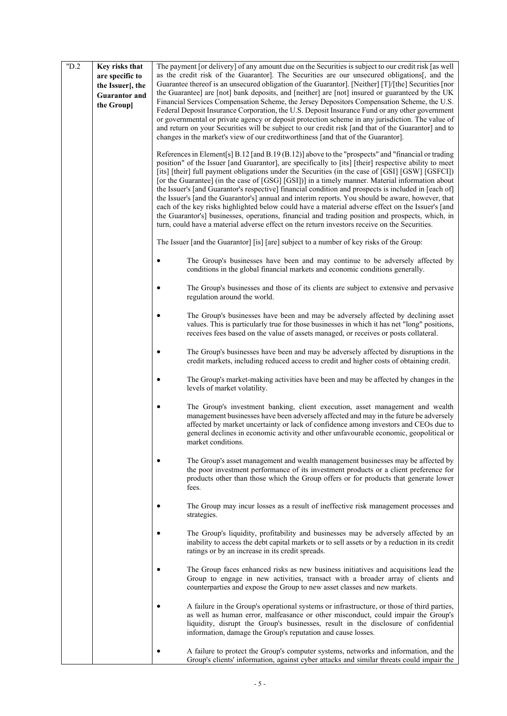| "D.2 | Key risks that<br>are specific to<br>the Issuer[, the<br><b>Guarantor and</b><br>the Group] | The payment [or delivery] of any amount due on the Securities is subject to our credit risk [as well<br>as the credit risk of the Guarantor]. The Securities are our unsecured obligations and the<br>Guarantee thereof is an unsecured obligation of the Guarantor]. [Neither] $[T]/[the]$ Securities [nor<br>the Guarantee] are [not] bank deposits, and [neither] are [not] insured or guaranteed by the UK<br>Financial Services Compensation Scheme, the Jersey Depositors Compensation Scheme, the U.S.<br>Federal Deposit Insurance Corporation, the U.S. Deposit Insurance Fund or any other government<br>or governmental or private agency or deposit protection scheme in any jurisdiction. The value of<br>and return on your Securities will be subject to our credit risk [and that of the Guarantor] and to<br>changes in the market's view of our creditworthiness [and that of the Guarantor].                           |
|------|---------------------------------------------------------------------------------------------|-------------------------------------------------------------------------------------------------------------------------------------------------------------------------------------------------------------------------------------------------------------------------------------------------------------------------------------------------------------------------------------------------------------------------------------------------------------------------------------------------------------------------------------------------------------------------------------------------------------------------------------------------------------------------------------------------------------------------------------------------------------------------------------------------------------------------------------------------------------------------------------------------------------------------------------------|
|      |                                                                                             | References in Element[s] B.12 [and B.19 (B.12)] above to the "prospects" and "financial or trading<br>position" of the Issuer [and Guarantor], are specifically to [its] [their] respective ability to meet<br>[its] [their] full payment obligations under the Securities (in the case of [GSI] [GSW] [GSFCI])<br>[or the Guarantee] (in the case of [GSG] [GSI])] in a timely manner. Material information about<br>the Issuer's [and Guarantor's respective] financial condition and prospects is included in [each of]<br>the Issuer's [and the Guarantor's] annual and interim reports. You should be aware, however, that<br>each of the key risks highlighted below could have a material adverse effect on the Issuer's [and<br>the Guarantor's] businesses, operations, financial and trading position and prospects, which, in<br>turn, could have a material adverse effect on the return investors receive on the Securities. |
|      |                                                                                             | The Issuer [and the Guarantor] [is] [are] subject to a number of key risks of the Group:                                                                                                                                                                                                                                                                                                                                                                                                                                                                                                                                                                                                                                                                                                                                                                                                                                                  |
|      |                                                                                             | The Group's businesses have been and may continue to be adversely affected by<br>conditions in the global financial markets and economic conditions generally.                                                                                                                                                                                                                                                                                                                                                                                                                                                                                                                                                                                                                                                                                                                                                                            |
|      |                                                                                             | The Group's businesses and those of its clients are subject to extensive and pervasive<br>regulation around the world.                                                                                                                                                                                                                                                                                                                                                                                                                                                                                                                                                                                                                                                                                                                                                                                                                    |
|      |                                                                                             | The Group's businesses have been and may be adversely affected by declining asset<br>values. This is particularly true for those businesses in which it has net "long" positions,<br>receives fees based on the value of assets managed, or receives or posts collateral.                                                                                                                                                                                                                                                                                                                                                                                                                                                                                                                                                                                                                                                                 |
|      |                                                                                             | The Group's businesses have been and may be adversely affected by disruptions in the<br>credit markets, including reduced access to credit and higher costs of obtaining credit.                                                                                                                                                                                                                                                                                                                                                                                                                                                                                                                                                                                                                                                                                                                                                          |
|      |                                                                                             | The Group's market-making activities have been and may be affected by changes in the<br>levels of market volatility.                                                                                                                                                                                                                                                                                                                                                                                                                                                                                                                                                                                                                                                                                                                                                                                                                      |
|      |                                                                                             | The Group's investment banking, client execution, asset management and wealth<br>management businesses have been adversely affected and may in the future be adversely<br>affected by market uncertainty or lack of confidence among investors and CEOs due to<br>general declines in economic activity and other unfavourable economic, geopolitical or<br>market conditions.                                                                                                                                                                                                                                                                                                                                                                                                                                                                                                                                                            |
|      |                                                                                             | The Group's asset management and wealth management businesses may be affected by<br>the poor investment performance of its investment products or a client preference for<br>products other than those which the Group offers or for products that generate lower<br>fees.                                                                                                                                                                                                                                                                                                                                                                                                                                                                                                                                                                                                                                                                |
|      |                                                                                             | The Group may incur losses as a result of ineffective risk management processes and<br>strategies.                                                                                                                                                                                                                                                                                                                                                                                                                                                                                                                                                                                                                                                                                                                                                                                                                                        |
|      |                                                                                             | The Group's liquidity, profitability and businesses may be adversely affected by an<br>inability to access the debt capital markets or to sell assets or by a reduction in its credit<br>ratings or by an increase in its credit spreads.                                                                                                                                                                                                                                                                                                                                                                                                                                                                                                                                                                                                                                                                                                 |
|      |                                                                                             | The Group faces enhanced risks as new business initiatives and acquisitions lead the<br>Group to engage in new activities, transact with a broader array of clients and<br>counterparties and expose the Group to new asset classes and new markets.                                                                                                                                                                                                                                                                                                                                                                                                                                                                                                                                                                                                                                                                                      |
|      |                                                                                             | A failure in the Group's operational systems or infrastructure, or those of third parties,<br>as well as human error, malfeasance or other misconduct, could impair the Group's<br>liquidity, disrupt the Group's businesses, result in the disclosure of confidential<br>information, damage the Group's reputation and cause losses.                                                                                                                                                                                                                                                                                                                                                                                                                                                                                                                                                                                                    |
|      |                                                                                             | A failure to protect the Group's computer systems, networks and information, and the<br>Group's clients' information, against cyber attacks and similar threats could impair the                                                                                                                                                                                                                                                                                                                                                                                                                                                                                                                                                                                                                                                                                                                                                          |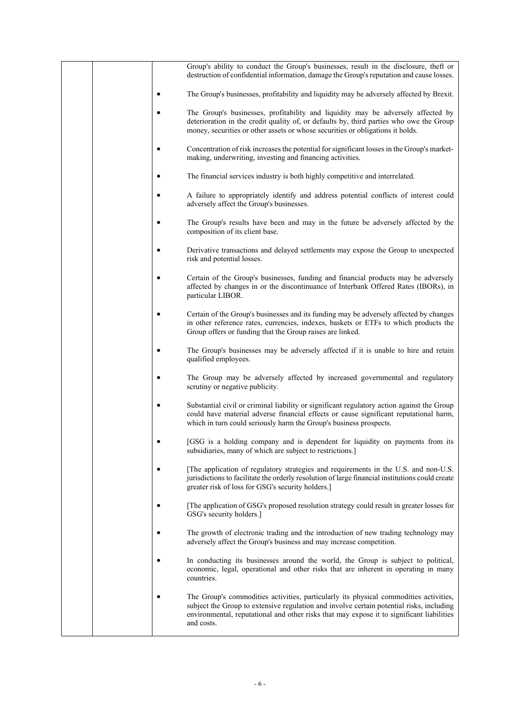|  |   | Group's ability to conduct the Group's businesses, result in the disclosure, theft or<br>destruction of confidential information, damage the Group's reputation and cause losses.                                                                                                            |
|--|---|----------------------------------------------------------------------------------------------------------------------------------------------------------------------------------------------------------------------------------------------------------------------------------------------|
|  |   | The Group's businesses, profitability and liquidity may be adversely affected by Brexit.                                                                                                                                                                                                     |
|  |   | The Group's businesses, profitability and liquidity may be adversely affected by<br>deterioration in the credit quality of, or defaults by, third parties who owe the Group<br>money, securities or other assets or whose securities or obligations it holds.                                |
|  |   | Concentration of risk increases the potential for significant losses in the Group's market-<br>making, underwriting, investing and financing activities.                                                                                                                                     |
|  |   | The financial services industry is both highly competitive and interrelated.                                                                                                                                                                                                                 |
|  | ٠ | A failure to appropriately identify and address potential conflicts of interest could<br>adversely affect the Group's businesses.                                                                                                                                                            |
|  |   | The Group's results have been and may in the future be adversely affected by the<br>composition of its client base.                                                                                                                                                                          |
|  |   | Derivative transactions and delayed settlements may expose the Group to unexpected<br>risk and potential losses.                                                                                                                                                                             |
|  |   | Certain of the Group's businesses, funding and financial products may be adversely<br>affected by changes in or the discontinuance of Interbank Offered Rates (IBORs), in<br>particular LIBOR.                                                                                               |
|  |   | Certain of the Group's businesses and its funding may be adversely affected by changes<br>in other reference rates, currencies, indexes, baskets or ETFs to which products the<br>Group offers or funding that the Group raises are linked.                                                  |
|  |   | The Group's businesses may be adversely affected if it is unable to hire and retain<br>qualified employees.                                                                                                                                                                                  |
|  |   | The Group may be adversely affected by increased governmental and regulatory<br>scrutiny or negative publicity.                                                                                                                                                                              |
|  |   | Substantial civil or criminal liability or significant regulatory action against the Group<br>could have material adverse financial effects or cause significant reputational harm,<br>which in turn could seriously harm the Group's business prospects.                                    |
|  |   | [GSG is a holding company and is dependent for liquidity on payments from its<br>subsidiaries, many of which are subject to restrictions.]                                                                                                                                                   |
|  |   | The application of regulatory strategies and requirements in the U.S. and non-U.S.<br>jurisdictions to facilitate the orderly resolution of large financial institutions could create<br>greater risk of loss for GSG's security holders.]                                                   |
|  |   | The application of GSG's proposed resolution strategy could result in greater losses for<br>GSG's security holders.]                                                                                                                                                                         |
|  |   | The growth of electronic trading and the introduction of new trading technology may<br>adversely affect the Group's business and may increase competition.                                                                                                                                   |
|  |   | In conducting its businesses around the world, the Group is subject to political,<br>economic, legal, operational and other risks that are inherent in operating in many<br>countries.                                                                                                       |
|  |   | The Group's commodities activities, particularly its physical commodities activities,<br>subject the Group to extensive regulation and involve certain potential risks, including<br>environmental, reputational and other risks that may expose it to significant liabilities<br>and costs. |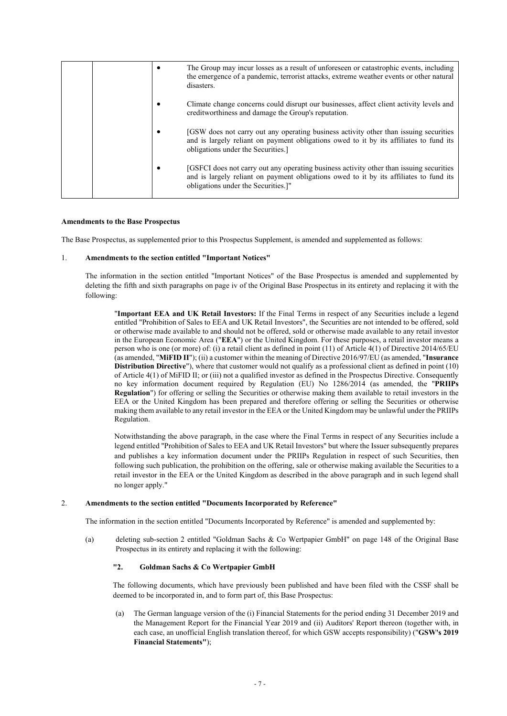|  | The Group may incur losses as a result of unforeseen or catastrophic events, including<br>the emergence of a pandemic, terrorist attacks, extreme weather events or other natural<br>disasters.                          |
|--|--------------------------------------------------------------------------------------------------------------------------------------------------------------------------------------------------------------------------|
|  | Climate change concerns could disrupt our businesses, affect client activity levels and<br>creditworthiness and damage the Group's reputation.                                                                           |
|  | [GSW does not carry out any operating business activity other than issuing securities<br>and is largely reliant on payment obligations owed to it by its affiliates to fund its<br>obligations under the Securities.     |
|  | [GSFCI does not carry out any operating business activity other than issuing securities<br>and is largely reliant on payment obligations owed to it by its affiliates to fund its<br>obligations under the Securities.]" |

#### **Amendments to the Base Prospectus**

The Base Prospectus, as supplemented prior to this Prospectus Supplement, is amended and supplemented as follows:

### 1. **Amendments to the section entitled "Important Notices"**

The information in the section entitled "Important Notices" of the Base Prospectus is amended and supplemented by deleting the fifth and sixth paragraphs on page iv of the Original Base Prospectus in its entirety and replacing it with the following:

"**Important EEA and UK Retail Investors:** If the Final Terms in respect of any Securities include a legend entitled "Prohibition of Sales to EEA and UK Retail Investors", the Securities are not intended to be offered, sold or otherwise made available to and should not be offered, sold or otherwise made available to any retail investor in the European Economic Area ("**EEA**") or the United Kingdom. For these purposes, a retail investor means a person who is one (or more) of: (i) a retail client as defined in point (11) of Article 4(1) of Directive 2014/65/EU (as amended, "**MiFID II**"); (ii) a customer within the meaning of Directive 2016/97/EU (as amended, "**Insurance Distribution Directive**"), where that customer would not qualify as a professional client as defined in point (10) of Article 4(1) of MiFID II; or (iii) not a qualified investor as defined in the Prospectus Directive. Consequently no key information document required by Regulation (EU) No 1286/2014 (as amended, the "**PRIIPs Regulation**") for offering or selling the Securities or otherwise making them available to retail investors in the EEA or the United Kingdom has been prepared and therefore offering or selling the Securities or otherwise making them available to any retail investor in the EEA or the United Kingdom may be unlawful under the PRIIPs Regulation.

Notwithstanding the above paragraph, in the case where the Final Terms in respect of any Securities include a legend entitled "Prohibition of Sales to EEA and UK Retail Investors" but where the Issuer subsequently prepares and publishes a key information document under the PRIIPs Regulation in respect of such Securities, then following such publication, the prohibition on the offering, sale or otherwise making available the Securities to a retail investor in the EEA or the United Kingdom as described in the above paragraph and in such legend shall no longer apply."

#### 2. **Amendments to the section entitled "Documents Incorporated by Reference"**

The information in the section entitled "Documents Incorporated by Reference" is amended and supplemented by:

(a) deleting sub-section 2 entitled "Goldman Sachs & Co Wertpapier GmbH" on page 148 of the Original Base Prospectus in its entirety and replacing it with the following:

## **"2. Goldman Sachs & Co Wertpapier GmbH**

The following documents, which have previously been published and have been filed with the CSSF shall be deemed to be incorporated in, and to form part of, this Base Prospectus:

(a) The German language version of the (i) Financial Statements for the period ending 31 December 2019 and the Management Report for the Financial Year 2019 and (ii) Auditors' Report thereon (together with, in each case, an unofficial English translation thereof, for which GSW accepts responsibility) ("**GSW's 2019 Financial Statements"**);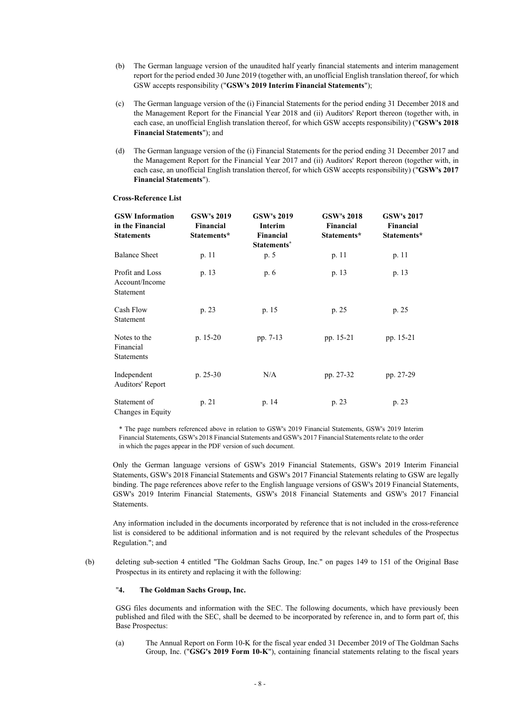- (b) The German language version of the unaudited half yearly financial statements and interim management report for the period ended 30 June 2019 (together with, an unofficial English translation thereof, for which GSW accepts responsibility ("**GSW's 2019 Interim Financial Statements**");
- (c) The German language version of the (i) Financial Statements for the period ending 31 December 2018 and the Management Report for the Financial Year 2018 and (ii) Auditors' Report thereon (together with, in each case, an unofficial English translation thereof, for which GSW accepts responsibility) ("**GSW's 2018 Financial Statements**"); and
- (d) The German language version of the (i) Financial Statements for the period ending 31 December 2017 and the Management Report for the Financial Year 2017 and (ii) Auditors' Report thereon (together with, in each case, an unofficial English translation thereof, for which GSW accepts responsibility) ("**GSW's 2017 Financial Statements**").

#### **GSW Information in the Financial Statements GSW's 2019 Financial Statements\* GSW's 2019 Interim Financial Statements\* GSW's 2018 Financial Statements\* GSW's 2017 Financial Statements\*** Balance Sheet p. 11 p. 5 p. 11 p. 11 p. 11 Profit and Loss Account/Income Statement p. 13 p. 6 p. 13 p. 13 Cash Flow Statement p. 23 p. 15 p. 25 p. 25 Notes to the Financial Statements p. 15-20 pp. 7-13 pp. 15-21 pp. 15-21 Independent Auditors' Report p. 25-30 N/A pp. 27-32 pp. 27-29 Statement of Changes in Equity p. 21 p. 14 p. 23 p. 23

#### **Cross-Reference List**

\* The page numbers referenced above in relation to GSW's 2019 Financial Statements, GSW's 2019 Interim Financial Statements, GSW's 2018 Financial Statements and GSW's 2017 Financial Statements relate to the order in which the pages appear in the PDF version of such document.

Only the German language versions of GSW's 2019 Financial Statements, GSW's 2019 Interim Financial Statements, GSW's 2018 Financial Statements and GSW's 2017 Financial Statements relating to GSW are legally binding. The page references above refer to the English language versions of GSW's 2019 Financial Statements, GSW's 2019 Interim Financial Statements, GSW's 2018 Financial Statements and GSW's 2017 Financial Statements.

Any information included in the documents incorporated by reference that is not included in the cross-reference list is considered to be additional information and is not required by the relevant schedules of the Prospectus Regulation."; and

(b) deleting sub-section 4 entitled "The Goldman Sachs Group, Inc." on pages 149 to 151 of the Original Base Prospectus in its entirety and replacing it with the following:

## "**4. The Goldman Sachs Group, Inc.**

GSG files documents and information with the SEC. The following documents, which have previously been published and filed with the SEC, shall be deemed to be incorporated by reference in, and to form part of, this Base Prospectus:

(a) The Annual Report on Form 10-K for the fiscal year ended 31 December 2019 of The Goldman Sachs Group, Inc. ("**GSG's 2019 Form 10-K**"), containing financial statements relating to the fiscal years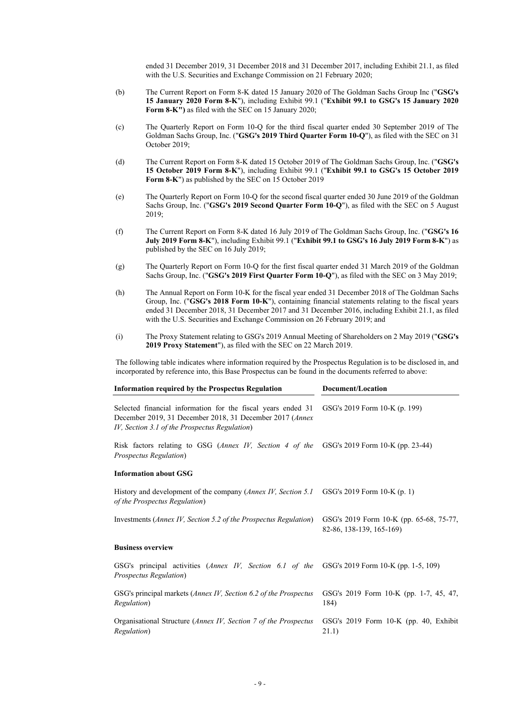ended 31 December 2019, 31 December 2018 and 31 December 2017, including Exhibit 21.1, as filed with the U.S. Securities and Exchange Commission on 21 February 2020;

- (b) The Current Report on Form 8-K dated 15 January 2020 of The Goldman Sachs Group Inc ("**GSG's 15 January 2020 Form 8-K**"), including Exhibit 99.1 ("**Exhibit 99.1 to GSG's 15 January 2020 Form 8-K")** as filed with the SEC on 15 January 2020;
- (c) The Quarterly Report on Form 10-Q for the third fiscal quarter ended 30 September 2019 of The Goldman Sachs Group, Inc. ("**GSG's 2019 Third Quarter Form 10-Q**"), as filed with the SEC on 31 October 2019;
- (d) The Current Report on Form 8-K dated 15 October 2019 of The Goldman Sachs Group, Inc. ("**GSG's 15 October 2019 Form 8-K**"), including Exhibit 99.1 ("**Exhibit 99.1 to GSG's 15 October 2019 Form 8-K**") as published by the SEC on 15 October 2019
- (e) The Quarterly Report on Form 10-Q for the second fiscal quarter ended 30 June 2019 of the Goldman Sachs Group, Inc. ("**GSG's 2019 Second Quarter Form 10-Q**"), as filed with the SEC on 5 August 2019;
- (f) The Current Report on Form 8-K dated 16 July 2019 of The Goldman Sachs Group, Inc. ("**GSG's 16 July 2019 Form 8-K**"), including Exhibit 99.1 ("**Exhibit 99.1 to GSG's 16 July 2019 Form 8-K**") as published by the SEC on 16 July 2019;
- (g) The Quarterly Report on Form 10-Q for the first fiscal quarter ended 31 March 2019 of the Goldman Sachs Group, Inc. ("**GSG's 2019 First Quarter Form 10-Q**"), as filed with the SEC on 3 May 2019;
- (h) The Annual Report on Form 10-K for the fiscal year ended 31 December 2018 of The Goldman Sachs Group, Inc. ("**GSG's 2018 Form 10-K**"), containing financial statements relating to the fiscal years ended 31 December 2018, 31 December 2017 and 31 December 2016, including Exhibit 21.1, as filed with the U.S. Securities and Exchange Commission on 26 February 2019; and
- (i) The Proxy Statement relating to GSG's 2019 Annual Meeting of Shareholders on 2 May 2019 ("**GSG's 2019 Proxy Statement**"), as filed with the SEC on 22 March 2019.

The following table indicates where information required by the Prospectus Regulation is to be disclosed in, and incorporated by reference into, this Base Prospectus can be found in the documents referred to above:

| <b>Information required by the Prospectus Regulation</b>                                                                                                                  | Document/Location                                                   |
|---------------------------------------------------------------------------------------------------------------------------------------------------------------------------|---------------------------------------------------------------------|
| Selected financial information for the fiscal years ended 31<br>December 2019, 31 December 2018, 31 December 2017 (Annex<br>IV, Section 3.1 of the Prospectus Regulation) | GSG's 2019 Form 10-K (p. 199)                                       |
| Risk factors relating to GSG (Annex IV, Section 4 of the<br>Prospectus Regulation)                                                                                        | GSG's 2019 Form 10-K (pp. 23-44)                                    |
| <b>Information about GSG</b>                                                                                                                                              |                                                                     |
| History and development of the company (Annex IV, Section 5.1<br>of the Prospectus Regulation)                                                                            | GSG's 2019 Form 10-K (p. 1)                                         |
| Investments (Annex IV, Section 5.2 of the Prospectus Regulation)                                                                                                          | GSG's 2019 Form 10-K (pp. 65-68, 75-77,<br>82-86, 138-139, 165-169) |
| <b>Business overview</b>                                                                                                                                                  |                                                                     |
| GSG's principal activities (Annex IV, Section 6.1 of the GSG's 2019 Form 10-K (pp. 1-5, 109)<br>Prospectus Regulation)                                                    |                                                                     |
| GSG's principal markets (Annex IV, Section 6.2 of the Prospectus<br><i>Regulation</i> )                                                                                   | GSG's 2019 Form 10-K (pp. 1-7, 45, 47,<br>184)                      |
| Organisational Structure (Annex IV, Section 7 of the Prospectus<br>Regulation)                                                                                            | GSG's 2019 Form 10-K (pp. 40, Exhibit<br>21.1)                      |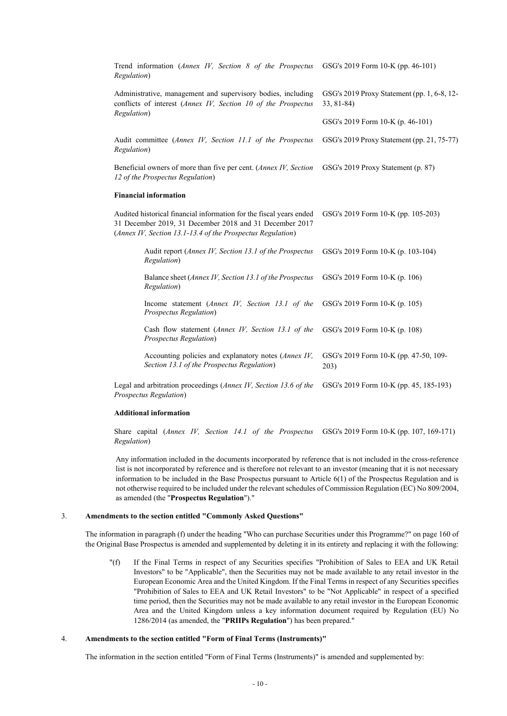| Trend information (Annex IV, Section 8 of the Prospectus<br>Regulation)                                                                                                                      | GSG's 2019 Form 10-K (pp. 46-101)                           |
|----------------------------------------------------------------------------------------------------------------------------------------------------------------------------------------------|-------------------------------------------------------------|
| Administrative, management and supervisory bodies, including<br>conflicts of interest (Annex IV, Section 10 of the Prospectus<br>Regulation)                                                 | GSG's 2019 Proxy Statement (pp. 1, 6-8, 12-<br>$33, 81-84)$ |
|                                                                                                                                                                                              | GSG's 2019 Form 10-K (p. 46-101)                            |
| Audit committee (Annex IV, Section 11.1 of the Prospectus<br>Regulation)                                                                                                                     | GSG's 2019 Proxy Statement (pp. 21, 75-77)                  |
| Beneficial owners of more than five per cent. (Annex IV, Section<br>12 of the Prospectus Regulation)                                                                                         | GSG's 2019 Proxy Statement (p. 87)                          |
| <b>Financial information</b>                                                                                                                                                                 |                                                             |
| Audited historical financial information for the fiscal years ended<br>31 December 2019, 31 December 2018 and 31 December 2017<br>(Annex IV, Section 13.1-13.4 of the Prospectus Regulation) | GSG's 2019 Form 10-K (pp. 105-203)                          |
| Audit report (Annex IV, Section 13.1 of the Prospectus<br>Regulation)                                                                                                                        | GSG's 2019 Form 10-K (p. 103-104)                           |
| Balance sheet (Annex IV, Section 13.1 of the Prospectus<br>Regulation)                                                                                                                       | GSG's 2019 Form 10-K (p. 106)                               |
| Income statement (Annex IV, Section 13.1 of the<br>Prospectus Regulation)                                                                                                                    | GSG's 2019 Form 10-K (p. 105)                               |
| Cash flow statement (Annex IV, Section 13.1 of the<br>Prospectus Regulation)                                                                                                                 | GSG's 2019 Form 10-K (p. 108)                               |
| Accounting policies and explanatory notes (Annex IV,<br>Section 13.1 of the Prospectus Regulation)                                                                                           | GSG's 2019 Form 10-K (pp. 47-50, 109-<br>203)               |
| Legal and arbitration proceedings (Annex IV, Section 13.6 of the<br>Prospectus Regulation)                                                                                                   | GSG's 2019 Form 10-K (pp. 45, 185-193)                      |

### **Additional information**

Share capital (*Annex IV, Section 14.1 of the Prospectus*  GSG's 2019 Form 10-K (pp. 107, 169-171) *Regulation*)

Any information included in the documents incorporated by reference that is not included in the cross-reference list is not incorporated by reference and is therefore not relevant to an investor (meaning that it is not necessary information to be included in the Base Prospectus pursuant to Article 6(1) of the Prospectus Regulation and is not otherwise required to be included under the relevant schedules of Commission Regulation (EC) No 809/2004, as amended (the "**Prospectus Regulation**")."

## 3. **Amendments to the section entitled "Commonly Asked Questions"**

The information in paragraph (f) under the heading "Who can purchase Securities under this Programme?" on page 160 of the Original Base Prospectus is amended and supplemented by deleting it in its entirety and replacing it with the following:

"(f) If the Final Terms in respect of any Securities specifies "Prohibition of Sales to EEA and UK Retail Investors" to be "Applicable", then the Securities may not be made available to any retail investor in the European Economic Area and the United Kingdom. If the Final Terms in respect of any Securities specifies "Prohibition of Sales to EEA and UK Retail Investors" to be "Not Applicable" in respect of a specified time period, then the Securities may not be made available to any retail investor in the European Economic Area and the United Kingdom unless a key information document required by Regulation (EU) No 1286/2014 (as amended, the "**PRIIPs Regulation**") has been prepared."

## 4. **Amendments to the section entitled "Form of Final Terms (Instruments)"**

The information in the section entitled "Form of Final Terms (Instruments)" is amended and supplemented by: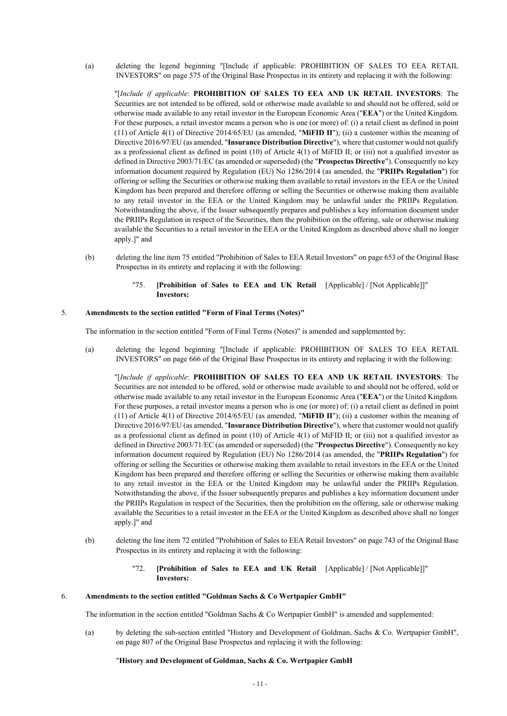(a) deleting the legend beginning "[Include if applicable: PROHIBITION OF SALES TO EEA RETAIL INVESTORS" on page 575 of the Original Base Prospectus in its entirety and replacing it with the following:

"[*Include if applicable*: **PROHIBITION OF SALES TO EEA AND UK RETAIL INVESTORS**: The Securities are not intended to be offered, sold or otherwise made available to and should not be offered, sold or otherwise made available to any retail investor in the European Economic Area ("**EEA**") or the United Kingdom. For these purposes, a retail investor means a person who is one (or more) of: (i) a retail client as defined in point (11) of Article 4(1) of Directive 2014/65/EU (as amended, "**MiFID II**"); (ii) a customer within the meaning of Directive 2016/97/EU (as amended, "**Insurance Distribution Directive**"), where that customer would not qualify as a professional client as defined in point (10) of Article 4(1) of MiFID II; or (iii) not a qualified investor as defined in Directive 2003/71/EC (as amended or superseded) (the "**Prospectus Directive**"). Consequently no key information document required by Regulation (EU) No 1286/2014 (as amended, the "**PRIIPs Regulation**") for offering or selling the Securities or otherwise making them available to retail investors in the EEA or the United Kingdom has been prepared and therefore offering or selling the Securities or otherwise making them available to any retail investor in the EEA or the United Kingdom may be unlawful under the PRIIPs Regulation. Notwithstanding the above, if the Issuer subsequently prepares and publishes a key information document under the PRIIPs Regulation in respect of the Securities, then the prohibition on the offering, sale or otherwise making available the Securities to a retail investor in the EEA or the United Kingdom as described above shall no longer apply.]" and

- (b) deleting the line item 75 entitled "Prohibition of Sales to EEA Retail Investors" on page 653 of the Original Base Prospectus in its entirety and replacing it with the following:
	- "75. **[Prohibition of Sales to EEA and UK Retail**  [Applicable] / [Not Applicable]]" **Investors:**

## 5. **Amendments to the section entitled "Form of Final Terms (Notes)"**

The information in the section entitled "Form of Final Terms (Notes)" is amended and supplemented by:

(a) deleting the legend beginning "[Include if applicable: PROHIBITION OF SALES TO EEA RETAIL INVESTORS" on page 666 of the Original Base Prospectus in its entirety and replacing it with the following:

"[*Include if applicable*: **PROHIBITION OF SALES TO EEA AND UK RETAIL INVESTORS**: The Securities are not intended to be offered, sold or otherwise made available to and should not be offered, sold or otherwise made available to any retail investor in the European Economic Area ("**EEA**") or the United Kingdom. For these purposes, a retail investor means a person who is one (or more) of: (i) a retail client as defined in point (11) of Article 4(1) of Directive 2014/65/EU (as amended, "**MiFID II**"); (ii) a customer within the meaning of Directive 2016/97/EU (as amended, "**Insurance Distribution Directive**"), where that customer would not qualify as a professional client as defined in point (10) of Article 4(1) of MiFID II; or (iii) not a qualified investor as defined in Directive 2003/71/EC (as amended or superseded) (the "**Prospectus Directive**"). Consequently no key information document required by Regulation (EU) No 1286/2014 (as amended, the "**PRIIPs Regulation**") for offering or selling the Securities or otherwise making them available to retail investors in the EEA or the United Kingdom has been prepared and therefore offering or selling the Securities or otherwise making them available to any retail investor in the EEA or the United Kingdom may be unlawful under the PRIIPs Regulation. Notwithstanding the above, if the Issuer subsequently prepares and publishes a key information document under the PRIIPs Regulation in respect of the Securities, then the prohibition on the offering, sale or otherwise making available the Securities to a retail investor in the EEA or the United Kingdom as described above shall no longer apply.]" and

- (b) deleting the line item 72 entitled "Prohibition of Sales to EEA Retail Investors" on page 743 of the Original Base Prospectus in its entirety and replacing it with the following:
	- "72. **[Prohibition of Sales to EEA and UK Retail**  [Applicable] / [Not Applicable]]" **Investors:**

#### 6. **Amendments to the section entitled "Goldman Sachs & Co Wertpapier GmbH"**

The information in the section entitled "Goldman Sachs & Co Wertpapier GmbH" is amended and supplemented:

(a) by deleting the sub-section entitled "History and Development of Goldman, Sachs & Co. Wertpapier GmbH", on page 807 of the Original Base Prospectus and replacing it with the following:

#### "**History and Development of Goldman, Sachs & Co. Wertpapier GmbH**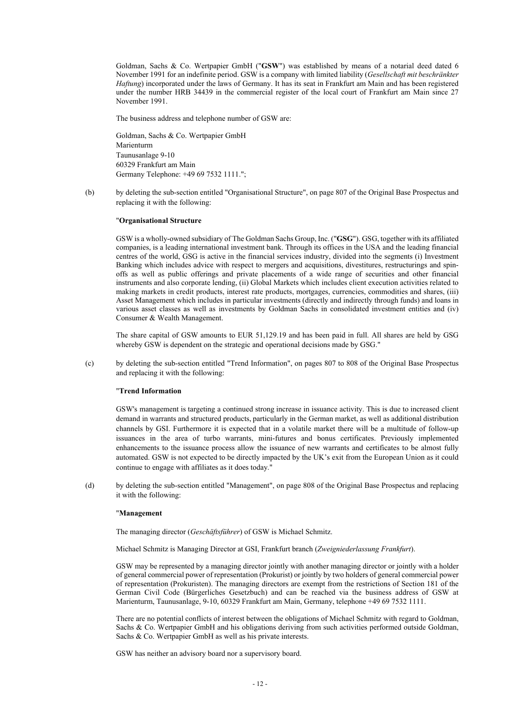Goldman, Sachs & Co. Wertpapier GmbH ("**GSW**") was established by means of a notarial deed dated 6 November 1991 for an indefinite period. GSW is a company with limited liability (*Gesellschaft mit beschränkter Haftung*) incorporated under the laws of Germany. It has its seat in Frankfurt am Main and has been registered under the number HRB 34439 in the commercial register of the local court of Frankfurt am Main since 27 November 1991.

The business address and telephone number of GSW are:

Goldman, Sachs & Co. Wertpapier GmbH Marienturm Taunusanlage 9-10 60329 Frankfurt am Main Germany Telephone: +49 69 7532 1111.";

(b) by deleting the sub-section entitled "Organisational Structure", on page 807 of the Original Base Prospectus and replacing it with the following:

#### "**Organisational Structure**

GSW is a wholly-owned subsidiary of The Goldman Sachs Group, Inc. ("**GSG**"). GSG, together with its affiliated companies, is a leading international investment bank. Through its offices in the USA and the leading financial centres of the world, GSG is active in the financial services industry, divided into the segments (i) Investment Banking which includes advice with respect to mergers and acquisitions, divestitures, restructurings and spinoffs as well as public offerings and private placements of a wide range of securities and other financial instruments and also corporate lending, (ii) Global Markets which includes client execution activities related to making markets in credit products, interest rate products, mortgages, currencies, commodities and shares, (iii) Asset Management which includes in particular investments (directly and indirectly through funds) and loans in various asset classes as well as investments by Goldman Sachs in consolidated investment entities and (iv) Consumer & Wealth Management.

The share capital of GSW amounts to EUR 51,129.19 and has been paid in full. All shares are held by GSG whereby GSW is dependent on the strategic and operational decisions made by GSG."

(c) by deleting the sub-section entitled "Trend Information", on pages 807 to 808 of the Original Base Prospectus and replacing it with the following:

#### "**Trend Information**

GSW's management is targeting a continued strong increase in issuance activity. This is due to increased client demand in warrants and structured products, particularly in the German market, as well as additional distribution channels by GSI. Furthermore it is expected that in a volatile market there will be a multitude of follow-up issuances in the area of turbo warrants, mini-futures and bonus certificates. Previously implemented enhancements to the issuance process allow the issuance of new warrants and certificates to be almost fully automated. GSW is not expected to be directly impacted by the UK's exit from the European Union as it could continue to engage with affiliates as it does today."

(d) by deleting the sub-section entitled "Management", on page 808 of the Original Base Prospectus and replacing it with the following:

#### "**Management**

The managing director (*Geschäftsführer*) of GSW is Michael Schmitz.

Michael Schmitz is Managing Director at GSI, Frankfurt branch (*Zweigniederlassung Frankfurt*).

GSW may be represented by a managing director jointly with another managing director or jointly with a holder of general commercial power of representation (Prokurist) or jointly by two holders of general commercial power of representation (Prokuristen). The managing directors are exempt from the restrictions of Section 181 of the German Civil Code (Bürgerliches Gesetzbuch) and can be reached via the business address of GSW at Marienturm, Taunusanlage, 9-10, 60329 Frankfurt am Main, Germany, telephone +49 69 7532 1111.

There are no potential conflicts of interest between the obligations of Michael Schmitz with regard to Goldman, Sachs & Co. Wertpapier GmbH and his obligations deriving from such activities performed outside Goldman, Sachs & Co. Wertpapier GmbH as well as his private interests.

GSW has neither an advisory board nor a supervisory board.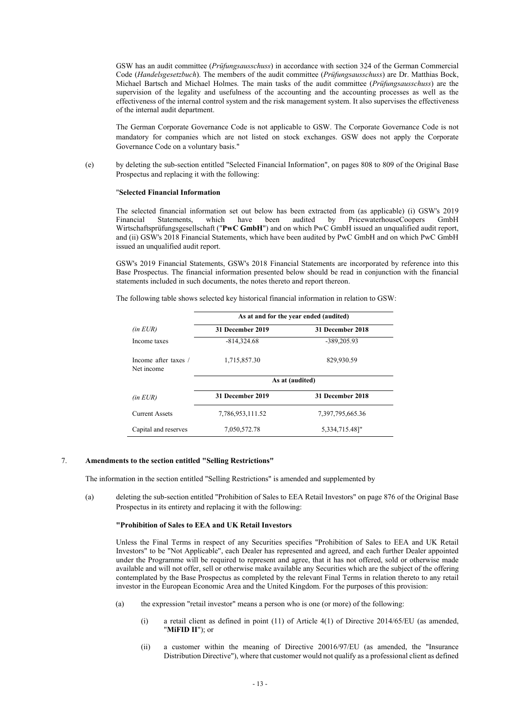GSW has an audit committee (*Prüfungsausschuss*) in accordance with section 324 of the German Commercial Code (*Handelsgesetzbuch*). The members of the audit committee (*Prüfungsausschuss*) are Dr. Matthias Bock, Michael Bartsch and Michael Holmes. The main tasks of the audit committee (*Prüfungsausschuss*) are the supervision of the legality and usefulness of the accounting and the accounting processes as well as the effectiveness of the internal control system and the risk management system. It also supervises the effectiveness of the internal audit department.

The German Corporate Governance Code is not applicable to GSW. The Corporate Governance Code is not mandatory for companies which are not listed on stock exchanges. GSW does not apply the Corporate Governance Code on a voluntary basis."

(e) by deleting the sub-section entitled "Selected Financial Information", on pages 808 to 809 of the Original Base Prospectus and replacing it with the following:

#### "**Selected Financial Information**

The selected financial information set out below has been extracted from (as applicable) (i) GSW's 2019 Financial Statements, which have been audited by PricewaterhouseCoopers GmbH Wirtschaftsprüfungsgesellschaft ("**PwC GmbH**") and on which PwC GmbH issued an unqualified audit report, and (ii) GSW's 2018 Financial Statements, which have been audited by PwC GmbH and on which PwC GmbH issued an unqualified audit report.

GSW's 2019 Financial Statements, GSW's 2018 Financial Statements are incorporated by reference into this Base Prospectus. The financial information presented below should be read in conjunction with the financial statements included in such documents, the notes thereto and report thereon.

The following table shows selected key historical financial information in relation to GSW:

|                                    | As at and for the year ended (audited) |                  |  |
|------------------------------------|----------------------------------------|------------------|--|
| $(in$ <i>EUR</i> $)$               | 31 December 2019                       | 31 December 2018 |  |
| Income taxes                       | $-814,324.68$                          | -389,205.93      |  |
| Income after taxes /<br>Net income | 1,715,857.30                           | 829,930.59       |  |
|                                    |                                        | As at (audited)  |  |
| $(in$ $EUR)$                       | 31 December 2019                       | 31 December 2018 |  |
| <b>Current Assets</b>              | 7,786,953,111.52                       | 7,397,795,665.36 |  |
| Capital and reserves               | 7,050,572.78                           | 5,334,715.48]"   |  |

#### 7. **Amendments to the section entitled "Selling Restrictions"**

The information in the section entitled "Selling Restrictions" is amended and supplemented by

(a) deleting the sub-section entitled "Prohibition of Sales to EEA Retail Investors" on page 876 of the Original Base Prospectus in its entirety and replacing it with the following:

#### **"Prohibition of Sales to EEA and UK Retail Investors**

Unless the Final Terms in respect of any Securities specifies "Prohibition of Sales to EEA and UK Retail Investors" to be "Not Applicable", each Dealer has represented and agreed, and each further Dealer appointed under the Programme will be required to represent and agree, that it has not offered, sold or otherwise made available and will not offer, sell or otherwise make available any Securities which are the subject of the offering contemplated by the Base Prospectus as completed by the relevant Final Terms in relation thereto to any retail investor in the European Economic Area and the United Kingdom. For the purposes of this provision:

- (a) the expression "retail investor" means a person who is one (or more) of the following:
	- (i) a retail client as defined in point (11) of Article 4(1) of Directive 2014/65/EU (as amended, "**MiFID II**"); or
	- (ii) a customer within the meaning of Directive 20016/97/EU (as amended, the "Insurance Distribution Directive"), where that customer would not qualify as a professional client as defined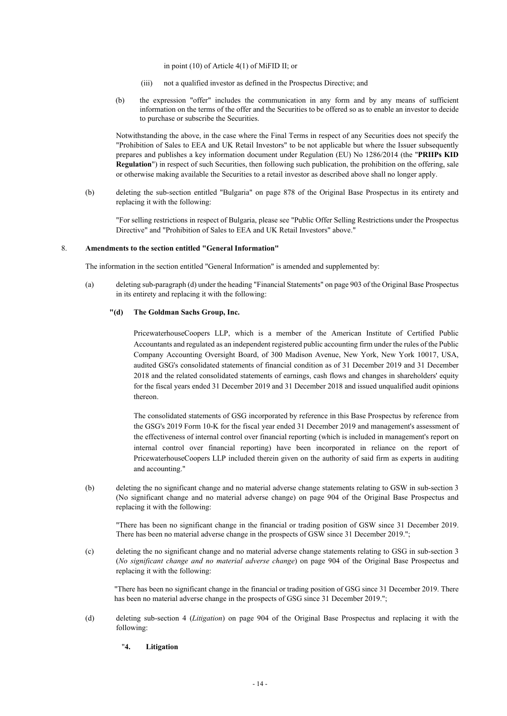in point (10) of Article 4(1) of MiFID II; or

- (iii) not a qualified investor as defined in the Prospectus Directive; and
- (b) the expression "offer" includes the communication in any form and by any means of sufficient information on the terms of the offer and the Securities to be offered so as to enable an investor to decide to purchase or subscribe the Securities.

Notwithstanding the above, in the case where the Final Terms in respect of any Securities does not specify the "Prohibition of Sales to EEA and UK Retail Investors" to be not applicable but where the Issuer subsequently prepares and publishes a key information document under Regulation (EU) No 1286/2014 (the "**PRIIPs KID Regulation**") in respect of such Securities, then following such publication, the prohibition on the offering, sale or otherwise making available the Securities to a retail investor as described above shall no longer apply.

(b) deleting the sub-section entitled "Bulgaria" on page 878 of the Original Base Prospectus in its entirety and replacing it with the following:

"For selling restrictions in respect of Bulgaria, please see "Public Offer Selling Restrictions under the Prospectus Directive" and "Prohibition of Sales to EEA and UK Retail Investors" above."

### 8. **Amendments to the section entitled "General Information"**

The information in the section entitled "General Information" is amended and supplemented by:

(a) deleting sub-paragraph (d) under the heading "Financial Statements" on page 903 of the Original Base Prospectus in its entirety and replacing it with the following:

## **"(d) The Goldman Sachs Group, Inc.**

PricewaterhouseCoopers LLP, which is a member of the American Institute of Certified Public Accountants and regulated as an independent registered public accounting firm under the rules of the Public Company Accounting Oversight Board, of 300 Madison Avenue, New York, New York 10017, USA, audited GSG's consolidated statements of financial condition as of 31 December 2019 and 31 December 2018 and the related consolidated statements of earnings, cash flows and changes in shareholders' equity for the fiscal years ended 31 December 2019 and 31 December 2018 and issued unqualified audit opinions thereon.

The consolidated statements of GSG incorporated by reference in this Base Prospectus by reference from the GSG's 2019 Form 10-K for the fiscal year ended 31 December 2019 and management's assessment of the effectiveness of internal control over financial reporting (which is included in management's report on internal control over financial reporting) have been incorporated in reliance on the report of PricewaterhouseCoopers LLP included therein given on the authority of said firm as experts in auditing and accounting."

(b) deleting the no significant change and no material adverse change statements relating to GSW in sub-section 3 (No significant change and no material adverse change) on page 904 of the Original Base Prospectus and replacing it with the following:

"There has been no significant change in the financial or trading position of GSW since 31 December 2019. There has been no material adverse change in the prospects of GSW since 31 December 2019.";

(c) deleting the no significant change and no material adverse change statements relating to GSG in sub-section 3 (*No significant change and no material adverse change*) on page 904 of the Original Base Prospectus and replacing it with the following:

"There has been no significant change in the financial or trading position of GSG since 31 December 2019. There has been no material adverse change in the prospects of GSG since 31 December 2019.";

(d) deleting sub-section 4 (*Litigation*) on page 904 of the Original Base Prospectus and replacing it with the following:

# "**4. Litigation**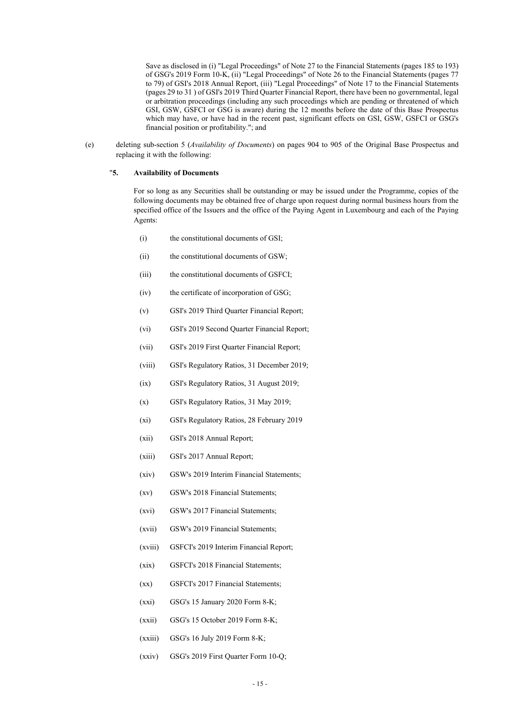Save as disclosed in (i) "Legal Proceedings" of Note 27 to the Financial Statements (pages 185 to 193) of GSG's 2019 Form 10-K, (ii) "Legal Proceedings" of Note 26 to the Financial Statements (pages 77 to 79) of GSI's 2018 Annual Report, (iii) "Legal Proceedings" of Note 17 to the Financial Statements (pages 29 to 31 ) of GSI's 2019 Third Quarter Financial Report, there have been no governmental, legal or arbitration proceedings (including any such proceedings which are pending or threatened of which GSI, GSW, GSFCI or GSG is aware) during the 12 months before the date of this Base Prospectus which may have, or have had in the recent past, significant effects on GSI, GSW, GSFCI or GSG's financial position or profitability."; and

(e) deleting sub-section 5 (*Availability of Documents*) on pages 904 to 905 of the Original Base Prospectus and replacing it with the following:

## "**5. Availability of Documents**

For so long as any Securities shall be outstanding or may be issued under the Programme, copies of the following documents may be obtained free of charge upon request during normal business hours from the specified office of the Issuers and the office of the Paying Agent in Luxembourg and each of the Paying Agents:

- (i) the constitutional documents of GSI;
- (ii) the constitutional documents of GSW;
- (iii) the constitutional documents of GSFCI;
- (iv) the certificate of incorporation of GSG;
- (v) GSI's 2019 Third Quarter Financial Report;
- (vi) GSI's 2019 Second Quarter Financial Report;
- (vii) GSI's 2019 First Quarter Financial Report;
- (viii) GSI's Regulatory Ratios, 31 December 2019;
- (ix) GSI's Regulatory Ratios, 31 August 2019;
- (x) GSI's Regulatory Ratios, 31 May 2019;
- (xi) GSI's Regulatory Ratios, 28 February 2019
- (xii) GSI's 2018 Annual Report;
- (xiii) GSI's 2017 Annual Report;
- (xiv) GSW's 2019 Interim Financial Statements;
- (xv) GSW's 2018 Financial Statements;
- (xvi) GSW's 2017 Financial Statements;
- (xvii) GSW's 2019 Financial Statements;
- (xviii) GSFCI's 2019 Interim Financial Report;
- (xix) GSFCI's 2018 Financial Statements;
- (xx) GSFCI's 2017 Financial Statements;
- (xxi) GSG's 15 January 2020 Form 8-K;
- (xxii) GSG's 15 October 2019 Form 8-K;
- (xxiii) GSG's 16 July 2019 Form 8-K;
- (xxiv) GSG's 2019 First Quarter Form 10-Q;